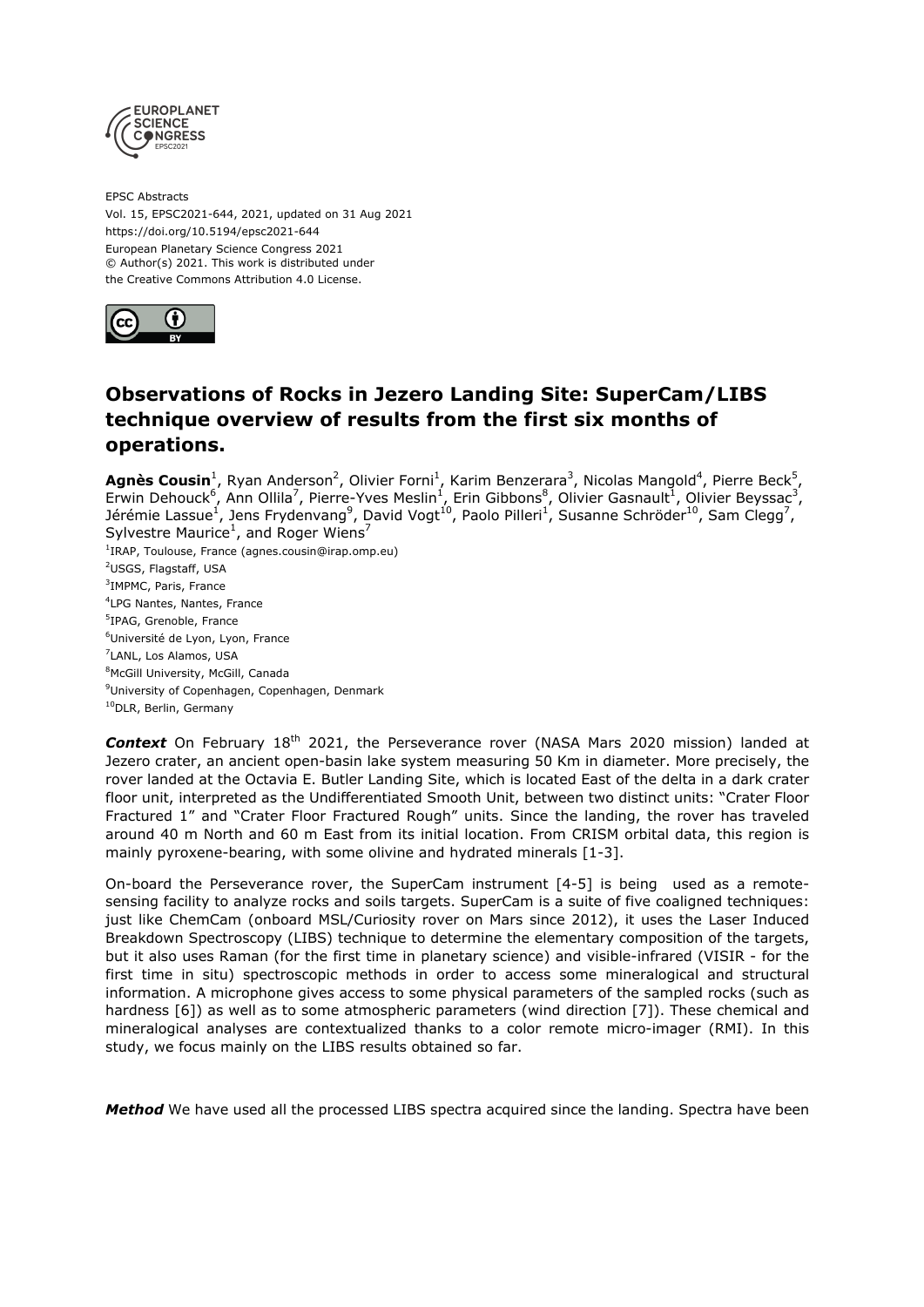

EPSC Abstracts Vol. 15, EPSC2021-644, 2021, updated on 31 Aug 2021 https://doi.org/10.5194/epsc2021-644 European Planetary Science Congress 2021 © Author(s) 2021. This work is distributed under the Creative Commons Attribution 4.0 License.



## **Observations of Rocks in Jezero Landing Site: SuperCam/LIBS technique overview of results from the first six months of operations.**

Agnès Cousin<sup>1</sup>, Ryan Anderson<sup>2</sup>, Olivier Forni<sup>1</sup>, Karim Benzerara<sup>3</sup>, Nicolas Mangold<sup>4</sup>, Pierre Beck<sup>5</sup>, Erwin Dehouck<sup>6</sup>, Ann Ollila<sup>7</sup>, Pierre-Yves Meslin<sup>1</sup>, Erin Gibbons<sup>8</sup>, Olivier Gasnault<sup>1</sup>, Olivier Beyssac<sup>3</sup>, Jérémie Lassue<sup>1</sup>, Jens Frydenvang<sup>9</sup>, David Vogt<sup>10</sup>, Paolo Pilleri<sup>1</sup>, Susanne Schröder<sup>10</sup>, Sam Clegg<sup>7</sup>, Sylvestre Maurice<sup>1</sup>, and Roger Wiens<sup>7</sup>

<sup>1</sup>IRAP, Toulouse, France (agnes.cousin@irap.omp.eu) <sup>2</sup>USGS, Flagstaff, USA 3 IMPMC, Paris, France 4 LPG Nantes, Nantes, France 5 IPAG, Grenoble, France <sup>6</sup>Université de Lyon, Lyon, France 7 LANL, Los Alamos, USA 8McGill University, McGill, Canada <sup>9</sup>University of Copenhagen, Copenhagen, Denmark <sup>10</sup>DLR, Berlin, Germany

**Context** On February 18<sup>th</sup> 2021, the Perseverance rover (NASA Mars 2020 mission) landed at Jezero crater, an ancient open-basin lake system measuring 50 Km in diameter. More precisely, the rover landed at the Octavia E. Butler Landing Site, which is located East of the delta in a dark crater floor unit, interpreted as the Undifferentiated Smooth Unit, between two distinct units: "Crater Floor Fractured 1" and "Crater Floor Fractured Rough" units. Since the landing, the rover has traveled around 40 m North and 60 m East from its initial location. From CRISM orbital data, this region is mainly pyroxene-bearing, with some olivine and hydrated minerals [1-3].

On-board the Perseverance rover, the SuperCam instrument [4-5] is being used as a remotesensing facility to analyze rocks and soils targets. SuperCam is a suite of five coaligned techniques: just like ChemCam (onboard MSL/Curiosity rover on Mars since 2012), it uses the Laser Induced Breakdown Spectroscopy (LIBS) technique to determine the elementary composition of the targets, but it also uses Raman (for the first time in planetary science) and visible-infrared (VISIR - for the first time in situ) spectroscopic methods in order to access some mineralogical and structural information. A microphone gives access to some physical parameters of the sampled rocks (such as hardness [6]) as well as to some atmospheric parameters (wind direction [7]). These chemical and mineralogical analyses are contextualized thanks to a color remote micro-imager (RMI). In this study, we focus mainly on the LIBS results obtained so far.

*Method* We have used all the processed LIBS spectra acquired since the landing. Spectra have been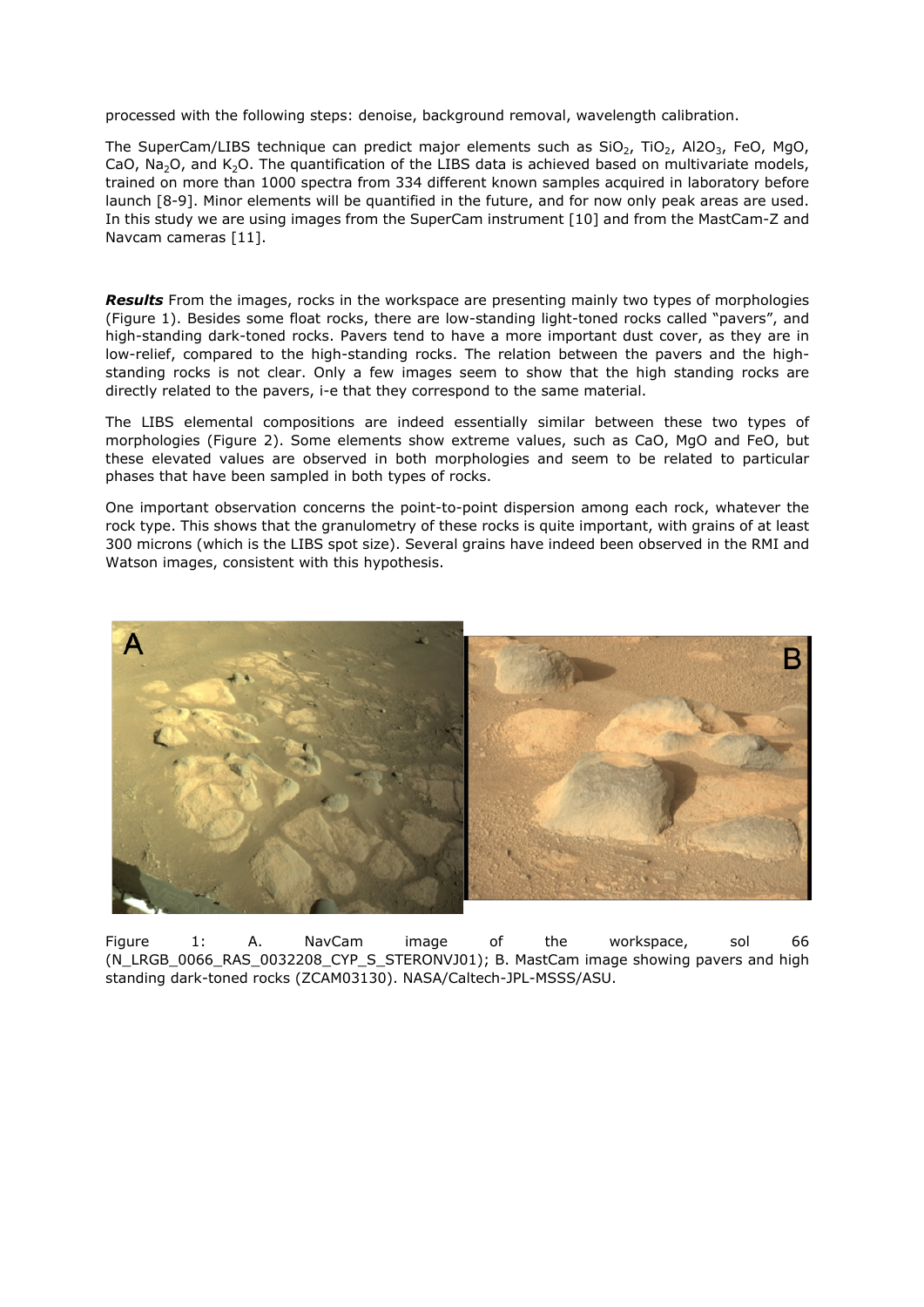processed with the following steps: denoise, background removal, wavelength calibration.

The SuperCam/LIBS technique can predict major elements such as  $SiO<sub>2</sub>$ ,  $TiO<sub>2</sub>$ , Al2O<sub>3</sub>, FeO, MgO, CaO, Na<sub>2</sub>O, and K<sub>2</sub>O. The quantification of the LIBS data is achieved based on multivariate models, trained on more than 1000 spectra from 334 different known samples acquired in laboratory before launch [8-9]. Minor elements will be quantified in the future, and for now only peak areas are used. In this study we are using images from the SuperCam instrument [10] and from the MastCam-Z and Navcam cameras [11].

*Results* From the images, rocks in the workspace are presenting mainly two types of morphologies (Figure 1). Besides some float rocks, there are low-standing light-toned rocks called "pavers", and high-standing dark-toned rocks. Pavers tend to have a more important dust cover, as they are in low-relief, compared to the high-standing rocks. The relation between the pavers and the highstanding rocks is not clear. Only a few images seem to show that the high standing rocks are directly related to the pavers, i-e that they correspond to the same material.

The LIBS elemental compositions are indeed essentially similar between these two types of morphologies (Figure 2). Some elements show extreme values, such as CaO, MgO and FeO, but these elevated values are observed in both morphologies and seem to be related to particular phases that have been sampled in both types of rocks.

One important observation concerns the point-to-point dispersion among each rock, whatever the rock type. This shows that the granulometry of these rocks is quite important, with grains of at least 300 microns (which is the LIBS spot size). Several grains have indeed been observed in the RMI and Watson images, consistent with this hypothesis.



Figure 1: A. NavCam image of the workspace, sol 66 (N\_LRGB\_0066\_RAS\_0032208\_CYP\_S\_STERONVJ01); B. MastCam image showing pavers and high standing dark-toned rocks (ZCAM03130). NASA/Caltech-JPL-MSSS/ASU.